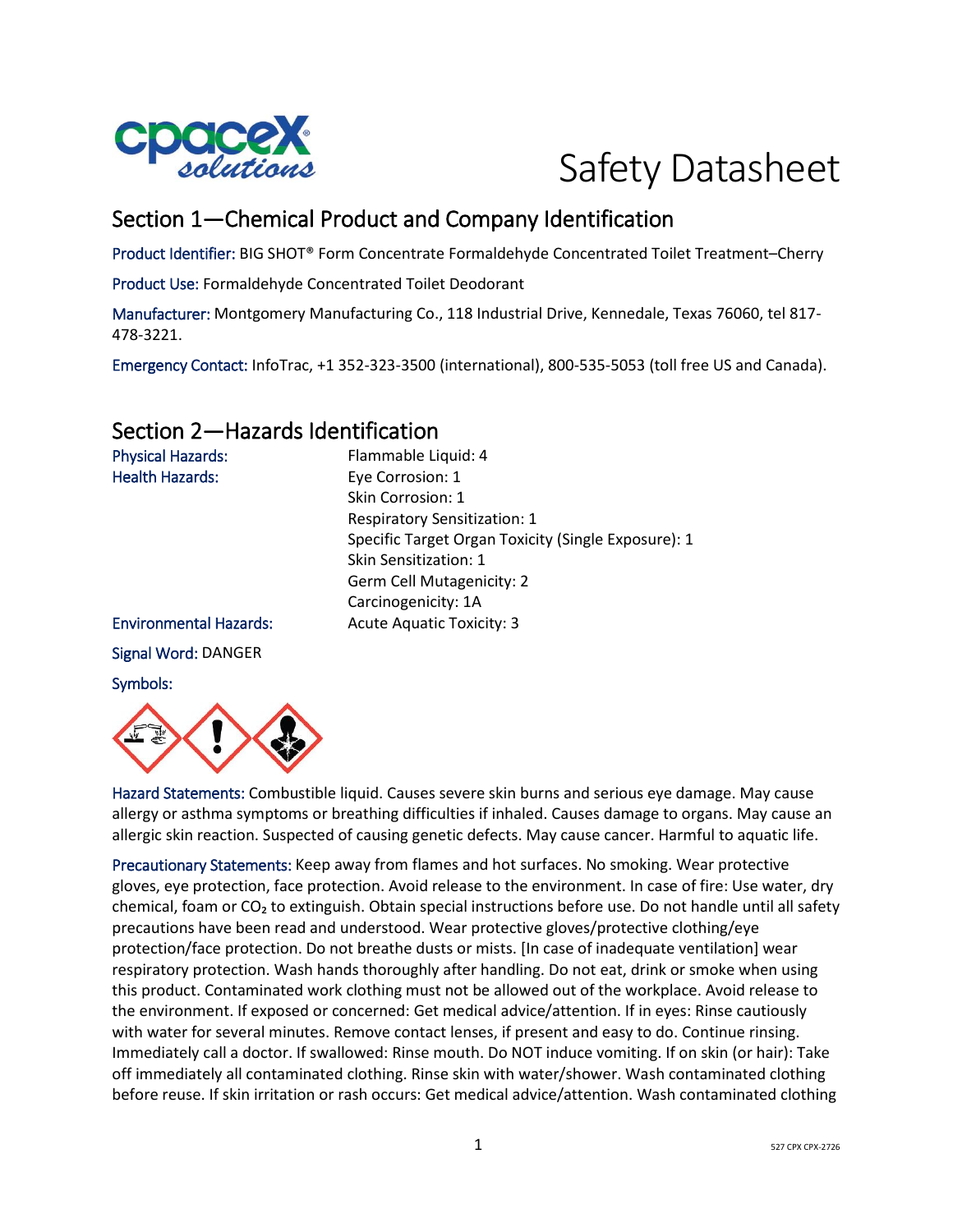

# Safety Datasheet

# Section 1—Chemical Product and Company Identification

Product Identifier: BIG SHOT® Form Concentrate Formaldehyde Concentrated Toilet Treatment–Cherry

Product Use: Formaldehyde Concentrated Toilet Deodorant

Manufacturer: Montgomery Manufacturing Co., 118 Industrial Drive, Kennedale, Texas 76060, tel 817- 478-3221.

Emergency Contact: InfoTrac, +1 352-323-3500 (international), 800-535-5053 (toll free US and Canada).

# Section 2—Hazards Identification

Physical Hazards: Flammable Liquid: 4 Health Hazards: Eye Corrosion: 1 Skin Corrosion: 1 Respiratory Sensitization: 1 Specific Target Organ Toxicity (Single Exposure): 1 Skin Sensitization: 1 Germ Cell Mutagenicity: 2 Carcinogenicity: 1A Environmental Hazards: Acute Aquatic Toxicity: 3 Signal Word: DANGER Symbols:



Hazard Statements: Combustible liquid. Causes severe skin burns and serious eye damage. May cause allergy or asthma symptoms or breathing difficulties if inhaled. Causes damage to organs. May cause an allergic skin reaction. Suspected of causing genetic defects. May cause cancer. Harmful to aquatic life.

Precautionary Statements: Keep away from flames and hot surfaces. No smoking. Wear protective gloves, eye protection, face protection. Avoid release to the environment. In case of fire: Use water, dry chemical, foam or CO<sub>2</sub> to extinguish. Obtain special instructions before use. Do not handle until all safety precautions have been read and understood. Wear protective gloves/protective clothing/eye protection/face protection. Do not breathe dusts or mists. [In case of inadequate ventilation] wear respiratory protection. Wash hands thoroughly after handling. Do not eat, drink or smoke when using this product. Contaminated work clothing must not be allowed out of the workplace. Avoid release to the environment. If exposed or concerned: Get medical advice/attention. If in eyes: Rinse cautiously with water for several minutes. Remove contact lenses, if present and easy to do. Continue rinsing. Immediately call a doctor. If swallowed: Rinse mouth. Do NOT induce vomiting. If on skin (or hair): Take off immediately all contaminated clothing. Rinse skin with water/shower. Wash contaminated clothing before reuse. If skin irritation or rash occurs: Get medical advice/attention. Wash contaminated clothing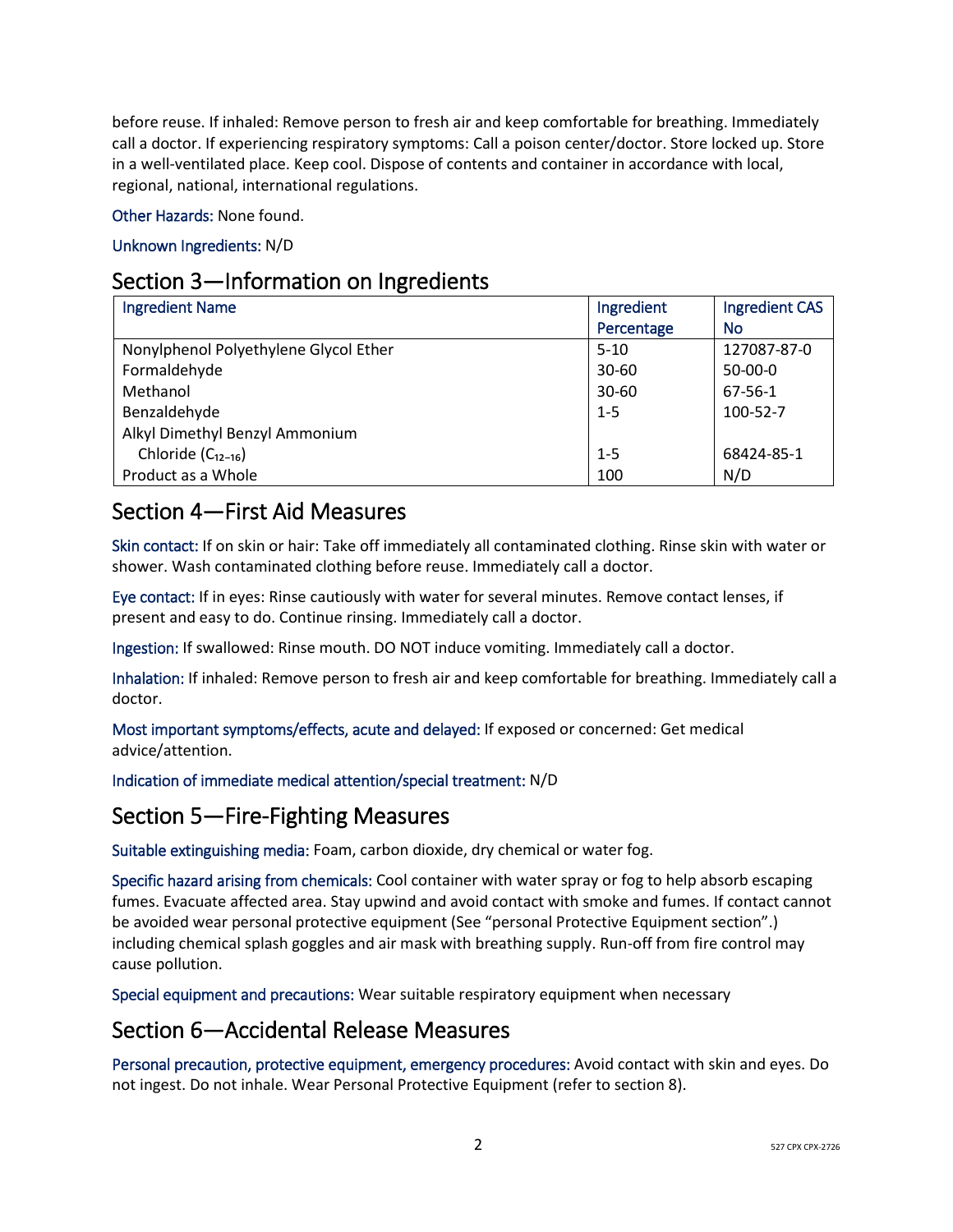before reuse. If inhaled: Remove person to fresh air and keep comfortable for breathing. Immediately call a doctor. If experiencing respiratory symptoms: Call a poison center/doctor. Store locked up. Store in a well-ventilated place. Keep cool. Dispose of contents and container in accordance with local, regional, national, international regulations.

Other Hazards: None found.

Unknown Ingredients: N/D

# Section 3—Information on Ingredients

| <b>Ingredient Name</b>                | Ingredient | <b>Ingredient CAS</b> |
|---------------------------------------|------------|-----------------------|
|                                       | Percentage | <b>No</b>             |
| Nonylphenol Polyethylene Glycol Ether | $5 - 10$   | 127087-87-0           |
| Formaldehyde                          | $30 - 60$  | $50-00-0$             |
| Methanol                              | $30 - 60$  | 67-56-1               |
| Benzaldehyde                          | $1 - 5$    | 100-52-7              |
| Alkyl Dimethyl Benzyl Ammonium        |            |                       |
| Chloride $(C_{12-16})$                | $1 - 5$    | 68424-85-1            |
| Product as a Whole                    | 100        | N/D                   |

# Section 4—First Aid Measures

Skin contact: If on skin or hair: Take off immediately all contaminated clothing. Rinse skin with water or shower. Wash contaminated clothing before reuse. Immediately call a doctor.

Eye contact: If in eyes: Rinse cautiously with water for several minutes. Remove contact lenses, if present and easy to do. Continue rinsing. Immediately call a doctor.

Ingestion: If swallowed: Rinse mouth. DO NOT induce vomiting. Immediately call a doctor.

Inhalation: If inhaled: Remove person to fresh air and keep comfortable for breathing. Immediately call a doctor.

Most important symptoms/effects, acute and delayed: If exposed or concerned: Get medical advice/attention.

Indication of immediate medical attention/special treatment: N/D

## Section 5—Fire-Fighting Measures

Suitable extinguishing media: Foam, carbon dioxide, dry chemical or water fog.

Specific hazard arising from chemicals: Cool container with water spray or fog to help absorb escaping fumes. Evacuate affected area. Stay upwind and avoid contact with smoke and fumes. If contact cannot be avoided wear personal protective equipment (See "personal Protective Equipment section".) including chemical splash goggles and air mask with breathing supply. Run-off from fire control may cause pollution.

Special equipment and precautions: Wear suitable respiratory equipment when necessary

## Section 6—Accidental Release Measures

Personal precaution, protective equipment, emergency procedures: Avoid contact with skin and eyes. Do not ingest. Do not inhale. Wear Personal Protective Equipment (refer to section 8).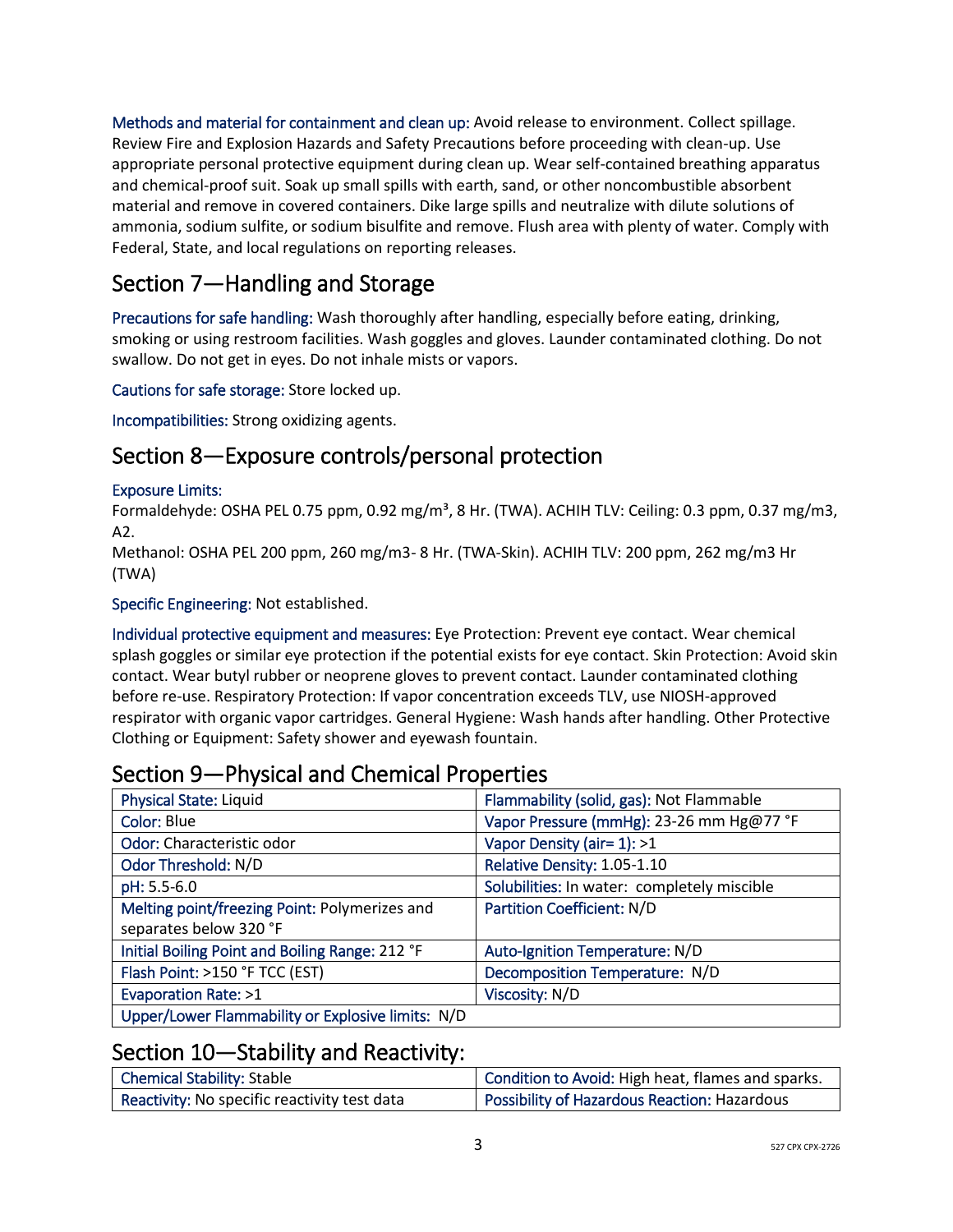Methods and material for containment and clean up: Avoid release to environment. Collect spillage. Review Fire and Explosion Hazards and Safety Precautions before proceeding with clean-up. Use appropriate personal protective equipment during clean up. Wear self-contained breathing apparatus and chemical-proof suit. Soak up small spills with earth, sand, or other noncombustible absorbent material and remove in covered containers. Dike large spills and neutralize with dilute solutions of ammonia, sodium sulfite, or sodium bisulfite and remove. Flush area with plenty of water. Comply with Federal, State, and local regulations on reporting releases.

# Section 7—Handling and Storage

Precautions for safe handling: Wash thoroughly after handling, especially before eating, drinking, smoking or using restroom facilities. Wash goggles and gloves. Launder contaminated clothing. Do not swallow. Do not get in eyes. Do not inhale mists or vapors.

Cautions for safe storage: Store locked up.

Incompatibilities: Strong oxidizing agents.

# Section 8—Exposure controls/personal protection

#### Exposure Limits:

Formaldehyde: OSHA PEL 0.75 ppm, 0.92 mg/m<sup>3</sup>, 8 Hr. (TWA). ACHIH TLV: Ceiling: 0.3 ppm, 0.37 mg/m3, A2.

Methanol: OSHA PEL 200 ppm, 260 mg/m3- 8 Hr. (TWA-Skin). ACHIH TLV: 200 ppm, 262 mg/m3 Hr (TWA)

#### Specific Engineering: Not established.

Individual protective equipment and measures: Eye Protection: Prevent eye contact. Wear chemical splash goggles or similar eye protection if the potential exists for eye contact. Skin Protection: Avoid skin contact. Wear butyl rubber or neoprene gloves to prevent contact. Launder contaminated clothing before re-use. Respiratory Protection: If vapor concentration exceeds TLV, use NIOSH-approved respirator with organic vapor cartridges. General Hygiene: Wash hands after handling. Other Protective Clothing or Equipment: Safety shower and eyewash fountain.

# Section 9—Physical and Chemical Properties

| <b>Physical State: Liquid</b>                     | Flammability (solid, gas): Not Flammable    |
|---------------------------------------------------|---------------------------------------------|
| Color: Blue                                       | Vapor Pressure (mmHg): 23-26 mm Hg@77 °F    |
| Odor: Characteristic odor                         | Vapor Density (air= 1): >1                  |
| Odor Threshold: N/D                               | Relative Density: 1.05-1.10                 |
| pH: 5.5-6.0                                       | Solubilities: In water: completely miscible |
| Melting point/freezing Point: Polymerizes and     | <b>Partition Coefficient: N/D</b>           |
| separates below 320 °F                            |                                             |
| Initial Boiling Point and Boiling Range: 212 °F   | Auto-Ignition Temperature: N/D              |
| Flash Point: >150 °F TCC (EST)                    | Decomposition Temperature: N/D              |
| Evaporation Rate: >1                              | Viscosity: N/D                              |
| Upper/Lower Flammability or Explosive limits: N/D |                                             |

### Section 10—Stability and Reactivity:

| Chemical Stability: Stable                   | Condition to Avoid: High heat, flames and sparks. |
|----------------------------------------------|---------------------------------------------------|
| Reactivity: No specific reactivity test data | Possibility of Hazardous Reaction: Hazardous      |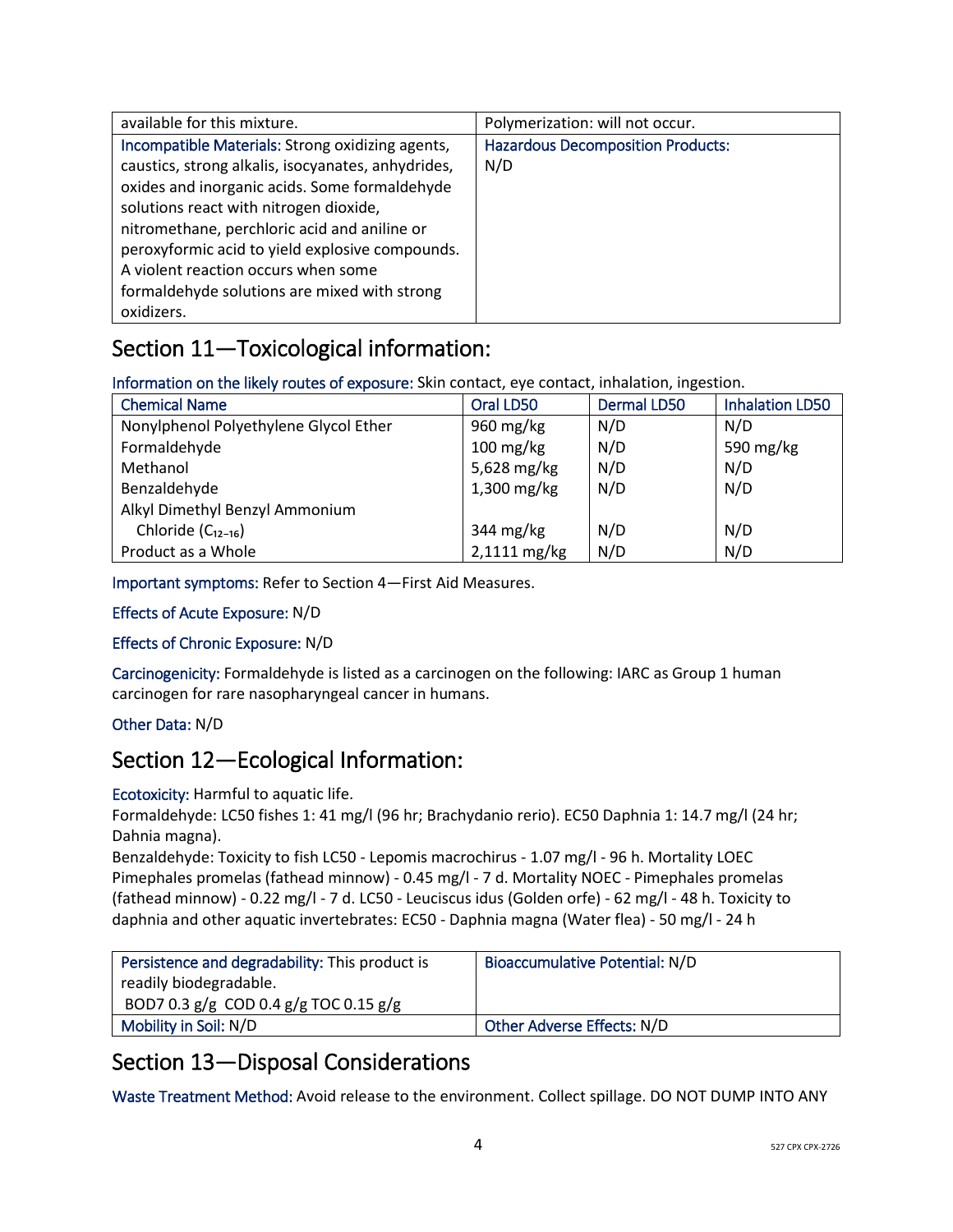| available for this mixture.                                                                                                                                                                                                                                                                                                                                                                 | Polymerization: will not occur.                 |
|---------------------------------------------------------------------------------------------------------------------------------------------------------------------------------------------------------------------------------------------------------------------------------------------------------------------------------------------------------------------------------------------|-------------------------------------------------|
| Incompatible Materials: Strong oxidizing agents,<br>caustics, strong alkalis, isocyanates, anhydrides,<br>oxides and inorganic acids. Some formaldehyde<br>solutions react with nitrogen dioxide,<br>nitromethane, perchloric acid and aniline or<br>peroxyformic acid to yield explosive compounds.<br>A violent reaction occurs when some<br>formaldehyde solutions are mixed with strong | <b>Hazardous Decomposition Products:</b><br>N/D |
| oxidizers.                                                                                                                                                                                                                                                                                                                                                                                  |                                                 |

# Section 11—Toxicological information:

Information on the likely routes of exposure: Skin contact, eye contact, inhalation, ingestion.

| <b>Chemical Name</b>                  | Oral LD50              | <b>Dermal LD50</b> | <b>Inhalation LD50</b> |
|---------------------------------------|------------------------|--------------------|------------------------|
| Nonylphenol Polyethylene Glycol Ether | 960 mg/kg              | N/D                | N/D                    |
| Formaldehyde                          | $100 \,\mathrm{mg/kg}$ | N/D                | 590 mg/kg              |
| Methanol                              | 5,628 mg/kg            | N/D                | N/D                    |
| Benzaldehyde                          | $1,300$ mg/kg          | N/D                | N/D                    |
| Alkyl Dimethyl Benzyl Ammonium        |                        |                    |                        |
| Chloride $(C_{12-16})$                | 344 mg/kg              | N/D                | N/D                    |
| Product as a Whole                    | 2,1111 mg/kg           | N/D                | N/D                    |

Important symptoms: Refer to Section 4—First Aid Measures.

#### Effects of Acute Exposure: N/D

#### Effects of Chronic Exposure: N/D

Carcinogenicity: Formaldehyde is listed as a carcinogen on the following: IARC as Group 1 human carcinogen for rare nasopharyngeal cancer in humans.

#### Other Data: N/D

# Section 12—Ecological Information:

#### Ecotoxicity: Harmful to aquatic life.

Formaldehyde: LC50 fishes 1: 41 mg/l (96 hr; Brachydanio rerio). EC50 Daphnia 1: 14.7 mg/l (24 hr; Dahnia magna).

Benzaldehyde: Toxicity to fish LC50 - Lepomis macrochirus - 1.07 mg/l - 96 h. Mortality LOEC Pimephales promelas (fathead minnow) - 0.45 mg/l - 7 d. Mortality NOEC - Pimephales promelas (fathead minnow) - 0.22 mg/l - 7 d. LC50 - Leuciscus idus (Golden orfe) - 62 mg/l - 48 h. Toxicity to daphnia and other aquatic invertebrates: EC50 - Daphnia magna (Water flea) - 50 mg/l - 24 h

| Persistence and degradability: This product is | <b>Bioaccumulative Potential: N/D</b> |
|------------------------------------------------|---------------------------------------|
| readily biodegradable.                         |                                       |
| BOD7 0.3 $g/g$ COD 0.4 $g/g$ TOC 0.15 $g/g$    |                                       |
| Mobility in Soil: N/D                          | <b>Other Adverse Effects: N/D</b>     |

# Section 13—Disposal Considerations

Waste Treatment Method: Avoid release to the environment. Collect spillage. DO NOT DUMP INTO ANY